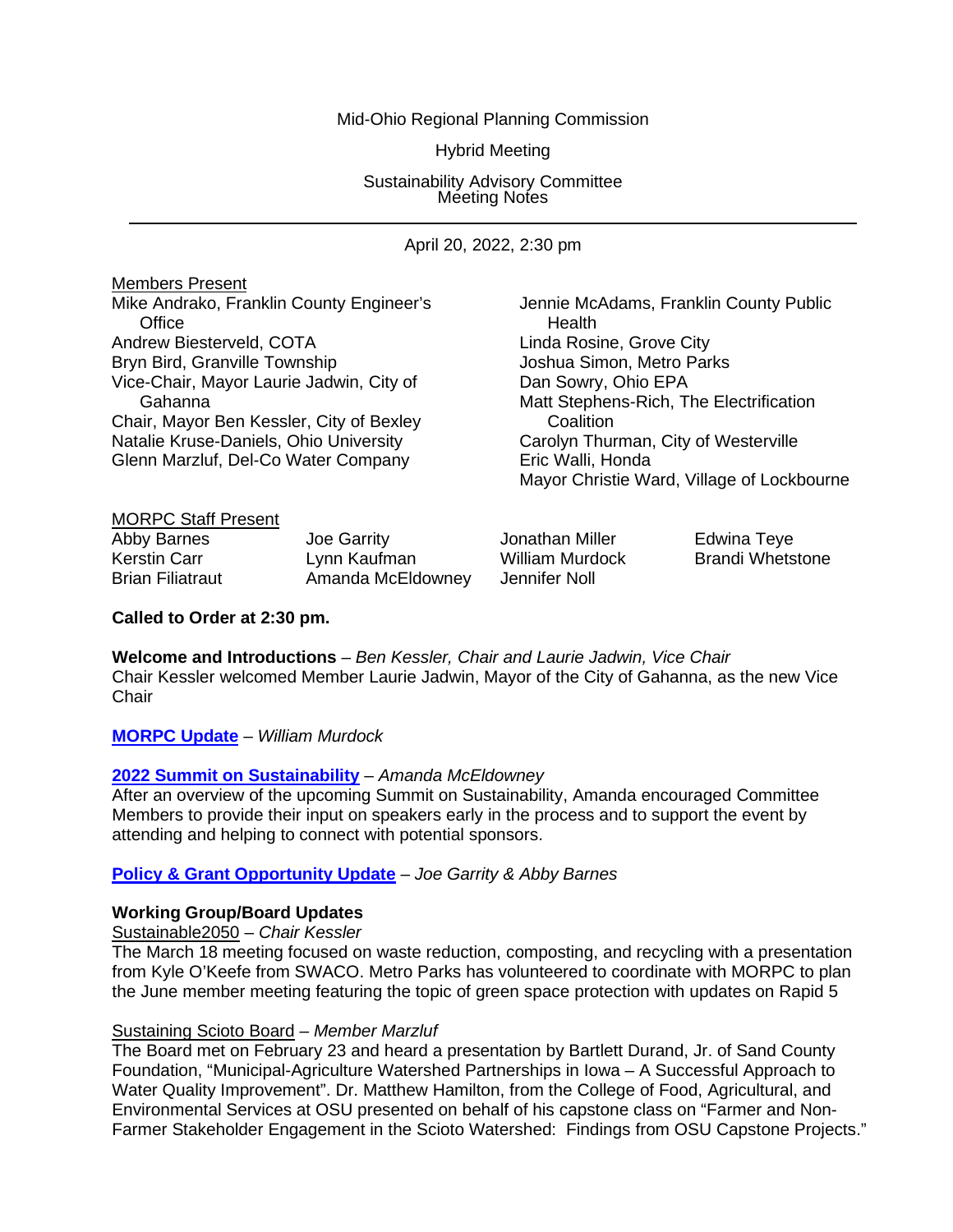### Mid-Ohio Regional Planning Commission

Hybrid Meeting

Sustainability Advisory Committee Meeting Notes

April 20, 2022, 2:30 pm

| <b>Members Present</b>                   |                                            |
|------------------------------------------|--------------------------------------------|
| Mike Andrako, Franklin County Engineer's | Jennie McAdams, Franklin County Public     |
| Office                                   | Health                                     |
| Andrew Biesterveld, COTA                 | Linda Rosine, Grove City                   |
| Bryn Bird, Granville Township            | Joshua Simon, Metro Parks                  |
| Vice-Chair, Mayor Laurie Jadwin, City of | Dan Sowry, Ohio EPA                        |
| Gahanna                                  | Matt Stephens-Rich, The Electrification    |
| Chair, Mayor Ben Kessler, City of Bexley | Coalition                                  |
| Natalie Kruse-Daniels, Ohio University   | Carolyn Thurman, City of Westerville       |
| Glenn Marzluf, Del-Co Water Company      | Eric Walli, Honda                          |
|                                          | Mayor Christie Ward, Village of Lockbourne |
| <b>MORPC Staff Present</b>               |                                            |

| Abby Barnes             | Joe Garrity       | Jonathan Miller | Edwina Teye             |
|-------------------------|-------------------|-----------------|-------------------------|
| Kerstin Carr            | Lynn Kaufman      | William Murdock | <b>Brandi Whetstone</b> |
| <b>Brian Filiatraut</b> | Amanda McEldowney | Jennifer Noll   |                         |

**Called to Order at 2:30 pm.**

**Welcome and Introductions** *– Ben Kessler, Chair and Laurie Jadwin, Vice Chair* Chair Kessler welcomed Member Laurie Jadwin, Mayor of the City of Gahanna, as the new Vice **Chair** 

**[MORPC Update](https://morpc1-my.sharepoint.com/:v:/g/personal/lkaufman_morpc_org/Ed4LZYmfoI5GqQJWmHw8unMBil1Caskwf5OUXwkaInT70w?e=P4wAkx)** *– William Murdock*

### **[2022 Summit on Sustainability](https://morpc1-my.sharepoint.com/:v:/g/personal/lkaufman_morpc_org/EReyH6o2_wdAmAK0XcFldiwBtk5i5aw6i1kmKBCvJJeqag?e=SE0Ih7)** *– Amanda McEldowney*

After an overview of the upcoming Summit on Sustainability, Amanda encouraged Committee Members to provide their input on speakers early in the process and to support the event by attending and helping to connect with potential sponsors.

#### **Policy [& Grant Opportunity](https://morpc1-my.sharepoint.com/:v:/g/personal/lkaufman_morpc_org/Ec-lStwpbaVLuXnyTOc10VoBG-iSJIAVridGT4tOlHiAQg?e=qLTndE) Update** *– Joe Garrity & Abby Barnes*

### **Working Group/Board Updates**

Sustainable2050 – *Chair Kessler*

The March 18 meeting focused on waste reduction, composting, and recycling with a presentation from Kyle O'Keefe from SWACO. Metro Parks has volunteered to coordinate with MORPC to plan the June member meeting featuring the topic of green space protection with updates on Rapid 5

# Sustaining Scioto Board *– Member Marzluf*

The Board met on February 23 and heard a presentation by Bartlett Durand, Jr. of Sand County Foundation, "Municipal-Agriculture Watershed Partnerships in Iowa – A Successful Approach to Water Quality Improvement". Dr. Matthew Hamilton, from the College of Food, Agricultural, and Environmental Services at OSU presented on behalf of his capstone class on "Farmer and Non-Farmer Stakeholder Engagement in the Scioto Watershed: Findings from OSU Capstone Projects."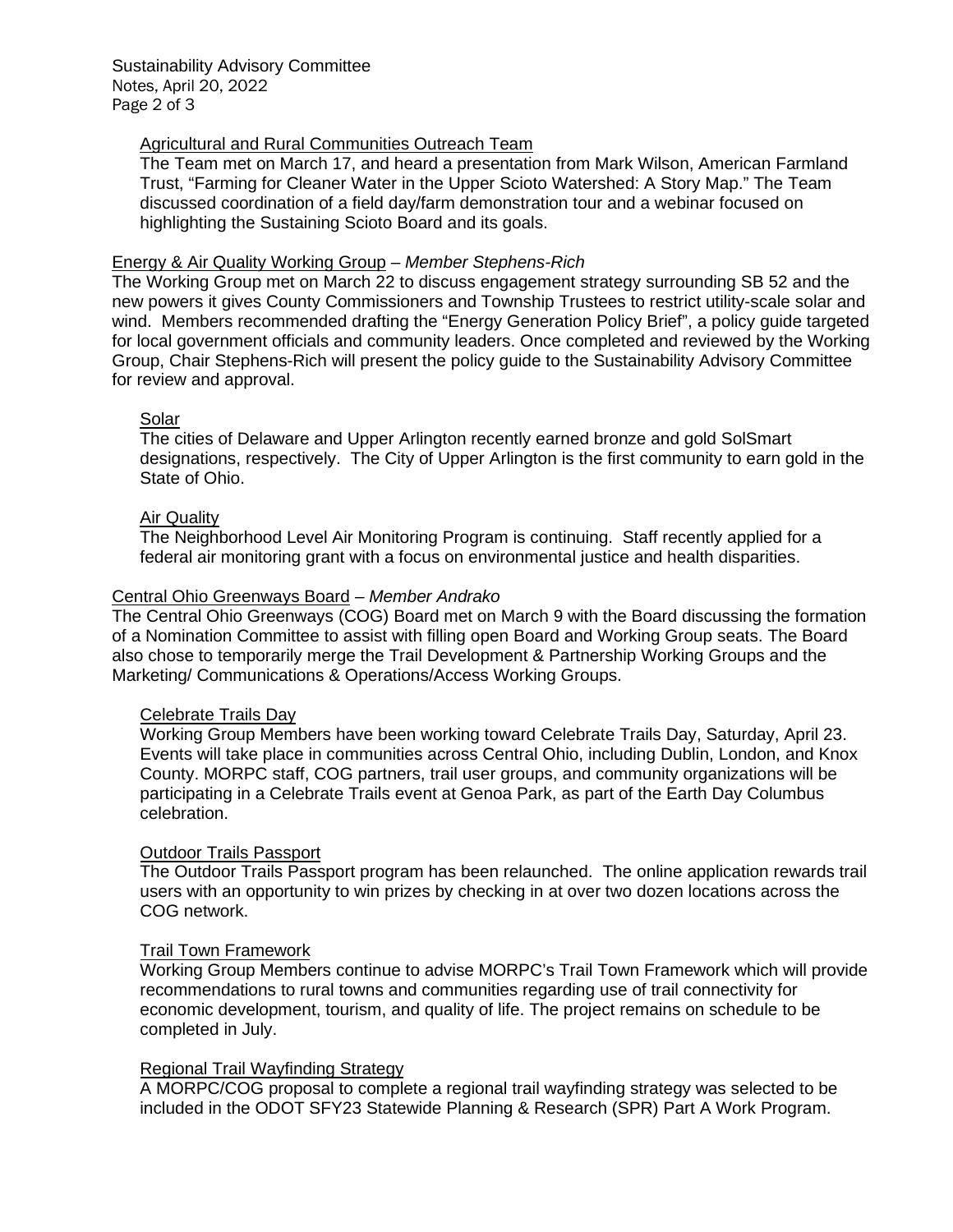Sustainability Advisory Committee Notes, April 20, 2022 Page 2 of 3

### Agricultural and Rural Communities Outreach Team

The Team met on March 17, and heard a presentation from Mark Wilson, American Farmland Trust, "Farming for Cleaner Water in the Upper Scioto Watershed: A Story Map." The Team discussed coordination of a field day/farm demonstration tour and a webinar focused on highlighting the Sustaining Scioto Board and its goals.

#### Energy & Air Quality Working Group *– Member Stephens-Rich*

The Working Group met on March 22 to discuss engagement strategy surrounding SB 52 and the new powers it gives County Commissioners and Township Trustees to restrict utility-scale solar and wind. Members recommended drafting the "Energy Generation Policy Brief", a policy guide targeted for local government officials and community leaders. Once completed and reviewed by the Working Group, Chair Stephens-Rich will present the policy guide to the Sustainability Advisory Committee for review and approval.

#### Solar

The cities of Delaware and Upper Arlington recently earned bronze and gold SolSmart designations, respectively. The City of Upper Arlington is the first community to earn gold in the State of Ohio.

## Air Quality

The Neighborhood Level Air Monitoring Program is continuing. Staff recently applied for a federal air monitoring grant with a focus on environmental justice and health disparities.

#### Central Ohio Greenways Board – *Member Andrako*

The Central Ohio Greenways (COG) Board met on March 9 with the Board discussing the formation of a Nomination Committee to assist with filling open Board and Working Group seats. The Board also chose to temporarily merge the Trail Development & Partnership Working Groups and the Marketing/ Communications & Operations/Access Working Groups.

#### Celebrate Trails Day

Working Group Members have been working toward Celebrate Trails Day, Saturday, April 23. Events will take place in communities across Central Ohio, including Dublin, London, and Knox County. MORPC staff, COG partners, trail user groups, and community organizations will be participating in a Celebrate Trails event at Genoa Park, as part of the Earth Day Columbus celebration.

### Outdoor Trails Passport

The Outdoor Trails Passport program has been relaunched. The online application rewards trail users with an opportunity to win prizes by checking in at over two dozen locations across the COG network.

#### Trail Town Framework

Working Group Members continue to advise MORPC's Trail Town Framework which will provide recommendations to rural towns and communities regarding use of trail connectivity for economic development, tourism, and quality of life. The project remains on schedule to be completed in July.

### Regional Trail Wayfinding Strategy

A MORPC/COG proposal to complete a regional trail wayfinding strategy was selected to be included in the ODOT SFY23 Statewide Planning & Research (SPR) Part A Work Program.